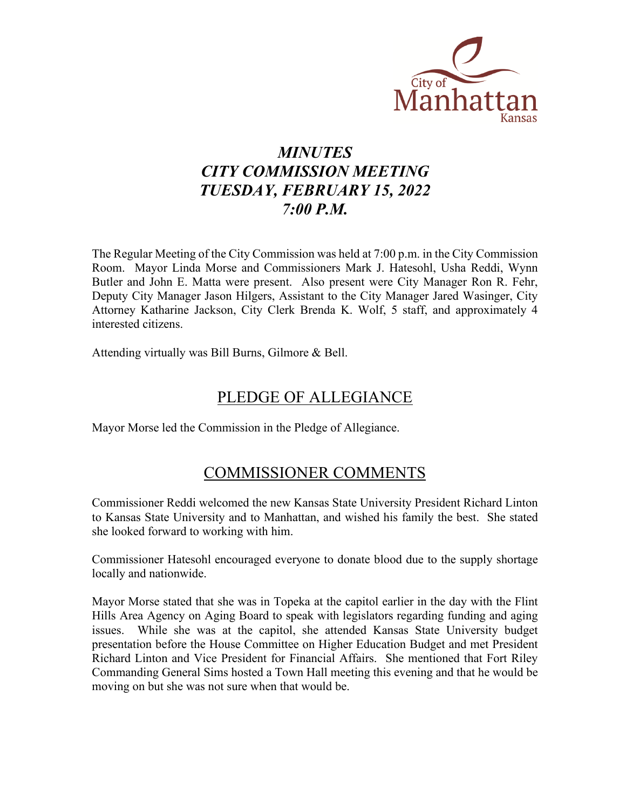

# *MINUTES CITY COMMISSION MEETING TUESDAY, FEBRUARY 15, 2022 7:00 P.M.*

The Regular Meeting of the City Commission was held at 7:00 p.m. in the City Commission Room. Mayor Linda Morse and Commissioners Mark J. Hatesohl, Usha Reddi, Wynn Butler and John E. Matta were present. Also present were City Manager Ron R. Fehr, Deputy City Manager Jason Hilgers, Assistant to the City Manager Jared Wasinger, City Attorney Katharine Jackson, City Clerk Brenda K. Wolf, 5 staff, and approximately 4 interested citizens.

Attending virtually was Bill Burns, Gilmore & Bell.

### PLEDGE OF ALLEGIANCE

Mayor Morse led the Commission in the Pledge of Allegiance.

### COMMISSIONER COMMENTS

Commissioner Reddi welcomed the new Kansas State University President Richard Linton to Kansas State University and to Manhattan, and wished his family the best. She stated she looked forward to working with him.

Commissioner Hatesohl encouraged everyone to donate blood due to the supply shortage locally and nationwide.

Mayor Morse stated that she was in Topeka at the capitol earlier in the day with the Flint Hills Area Agency on Aging Board to speak with legislators regarding funding and aging issues. While she was at the capitol, she attended Kansas State University budget presentation before the House Committee on Higher Education Budget and met President Richard Linton and Vice President for Financial Affairs. She mentioned that Fort Riley Commanding General Sims hosted a Town Hall meeting this evening and that he would be moving on but she was not sure when that would be.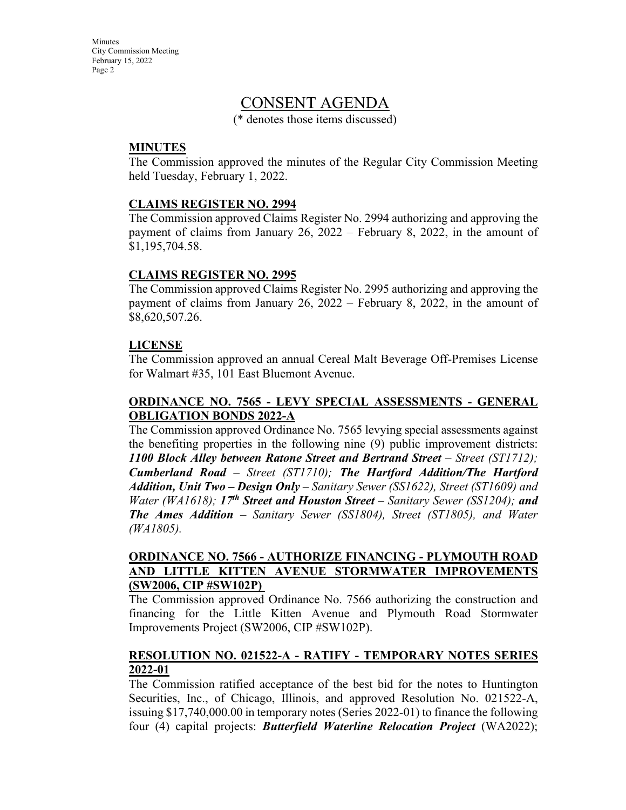**Minutes** City Commission Meeting February 15, 2022 Page 2

### CONSENT AGENDA

(\* denotes those items discussed)

#### **MINUTES**

The Commission approved the minutes of the Regular City Commission Meeting held Tuesday, February 1, 2022.

#### **CLAIMS REGISTER NO. 2994**

The Commission approved Claims Register No. 2994 authorizing and approving the payment of claims from January 26, 2022 – February 8, 2022, in the amount of \$1,195,704.58.

#### **CLAIMS REGISTER NO. 2995**

The Commission approved Claims Register No. 2995 authorizing and approving the payment of claims from January 26, 2022 – February 8, 2022, in the amount of \$8,620,507.26.

### **LICENSE**

The Commission approved an annual Cereal Malt Beverage Off-Premises License for Walmart #35, 101 East Bluemont Avenue.

### **ORDINANCE NO. 7565 - LEVY SPECIAL ASSESSMENTS - GENERAL OBLIGATION BONDS 2022-A**

The Commission approved Ordinance No. 7565 levying special assessments against the benefiting properties in the following nine (9) public improvement districts: *1100 Block Alley between Ratone Street and Bertrand Street – Street (ST1712); Cumberland Road – Street (ST1710); The Hartford Addition/The Hartford Addition, Unit Two – Design Only – Sanitary Sewer (SS1622), Street (ST1609) and Water (WA1618);* 17<sup>th</sup> Street and Houston Street – Sanitary Sewer (SS1204); and *The Ames Addition – Sanitary Sewer (SS1804), Street (ST1805), and Water (WA1805).*

#### **ORDINANCE NO. 7566 - AUTHORIZE FINANCING - PLYMOUTH ROAD AND LITTLE KITTEN AVENUE STORMWATER IMPROVEMENTS (SW2006, CIP #SW102P)**

The Commission approved Ordinance No. 7566 authorizing the construction and financing for the Little Kitten Avenue and Plymouth Road Stormwater Improvements Project (SW2006, CIP #SW102P).

#### **RESOLUTION NO. 021522-A - RATIFY - TEMPORARY NOTES SERIES 2022-01**

The Commission ratified acceptance of the best bid for the notes to Huntington Securities, Inc., of Chicago, Illinois, and approved Resolution No. 021522-A, issuing \$17,740,000.00 in temporary notes (Series 2022-01) to finance the following four (4) capital projects: *Butterfield Waterline Relocation Project* (WA2022);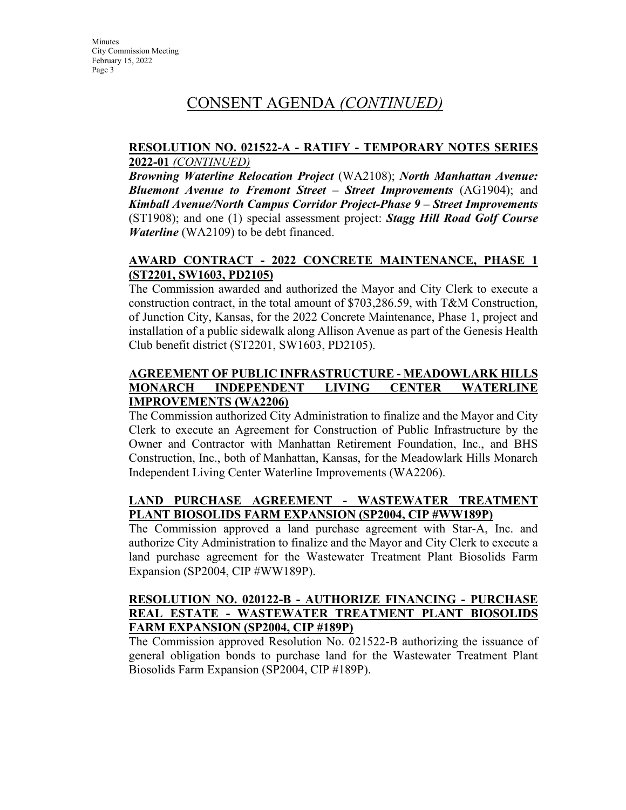# CONSENT AGENDA *(CONTINUED)*

#### **RESOLUTION NO. 021522-A - RATIFY - TEMPORARY NOTES SERIES 2022-01** *(CONTINUED)*

*Browning Waterline Relocation Project* (WA2108); *North Manhattan Avenue: Bluemont Avenue to Fremont Street – Street Improvements* (AG1904); and *Kimball Avenue/North Campus Corridor Project-Phase 9 – Street Improvements* (ST1908); and one (1) special assessment project: *Stagg Hill Road Golf Course Waterline* (WA2109) to be debt financed.

### **AWARD CONTRACT - 2022 CONCRETE MAINTENANCE, PHASE 1 (ST2201, SW1603, PD2105)**

The Commission awarded and authorized the Mayor and City Clerk to execute a construction contract, in the total amount of \$703,286.59, with T&M Construction, of Junction City, Kansas, for the 2022 Concrete Maintenance, Phase 1, project and installation of a public sidewalk along Allison Avenue as part of the Genesis Health Club benefit district (ST2201, SW1603, PD2105).

### **AGREEMENT OF PUBLIC INFRASTRUCTURE - MEADOWLARK HILLS MONARCH INDEPENDENT LIVING CENTER WATERLINE IMPROVEMENTS (WA2206)**

The Commission authorized City Administration to finalize and the Mayor and City Clerk to execute an Agreement for Construction of Public Infrastructure by the Owner and Contractor with Manhattan Retirement Foundation, Inc., and BHS Construction, Inc., both of Manhattan, Kansas, for the Meadowlark Hills Monarch Independent Living Center Waterline Improvements (WA2206).

### **LAND PURCHASE AGREEMENT - WASTEWATER TREATMENT PLANT BIOSOLIDS FARM EXPANSION (SP2004, CIP #WW189P)**

The Commission approved a land purchase agreement with Star-A, Inc. and authorize City Administration to finalize and the Mayor and City Clerk to execute a land purchase agreement for the Wastewater Treatment Plant Biosolids Farm Expansion (SP2004, CIP #WW189P).

#### **RESOLUTION NO. 020122-B - AUTHORIZE FINANCING - PURCHASE REAL ESTATE - WASTEWATER TREATMENT PLANT BIOSOLIDS FARM EXPANSION (SP2004, CIP #189P)**

The Commission approved Resolution No. 021522-B authorizing the issuance of general obligation bonds to purchase land for the Wastewater Treatment Plant Biosolids Farm Expansion (SP2004, CIP #189P).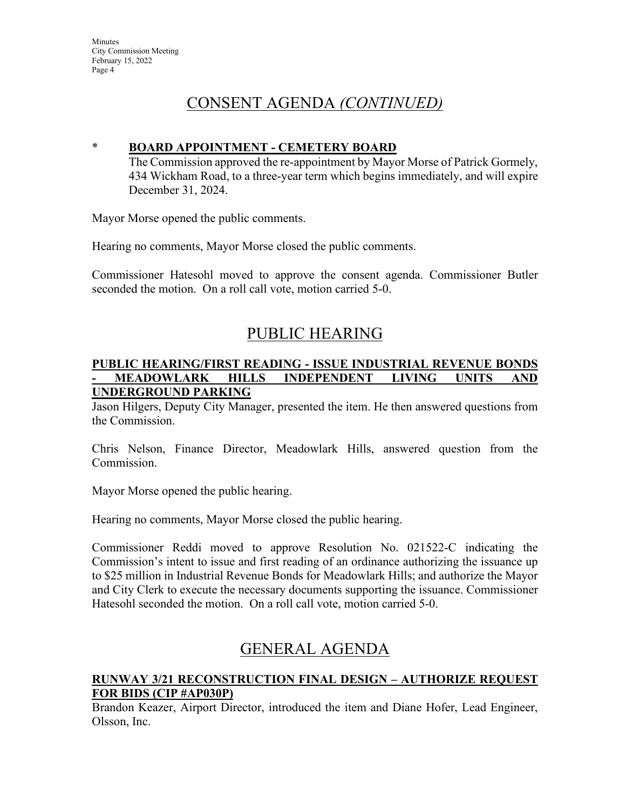## CONSENT AGENDA *(CONTINUED)*

### \* **BOARD APPOINTMENT - CEMETERY BOARD**

The Commission approved the re-appointment by Mayor Morse of Patrick Gormely, 434 Wickham Road, to a three-year term which begins immediately, and will expire December 31, 2024.

Mayor Morse opened the public comments.

Hearing no comments, Mayor Morse closed the public comments.

Commissioner Hatesohl moved to approve the consent agenda. Commissioner Butler seconded the motion. On a roll call vote, motion carried 5-0.

# PUBLIC HEARING

#### **PUBLIC HEARING/FIRST READING - ISSUE INDUSTRIAL REVENUE BONDS - MEADOWLARK HILLS INDEPENDENT LIVING UNITS AND UNDERGROUND PARKING**

Jason Hilgers, Deputy City Manager, presented the item. He then answered questions from the Commission.

Chris Nelson, Finance Director, Meadowlark Hills, answered question from the Commission.

Mayor Morse opened the public hearing.

Hearing no comments, Mayor Morse closed the public hearing.

Commissioner Reddi moved to approve Resolution No. 021522-C indicating the Commission's intent to issue and first reading of an ordinance authorizing the issuance up to \$25 million in Industrial Revenue Bonds for Meadowlark Hills; and authorize the Mayor and City Clerk to execute the necessary documents supporting the issuance. Commissioner Hatesohl seconded the motion. On a roll call vote, motion carried 5-0.

## GENERAL AGENDA

### **RUNWAY 3/21 RECONSTRUCTION FINAL DESIGN – AUTHORIZE REQUEST FOR BIDS (CIP #AP030P)**

Brandon Keazer, Airport Director, introduced the item and Diane Hofer, Lead Engineer, Olsson, Inc.